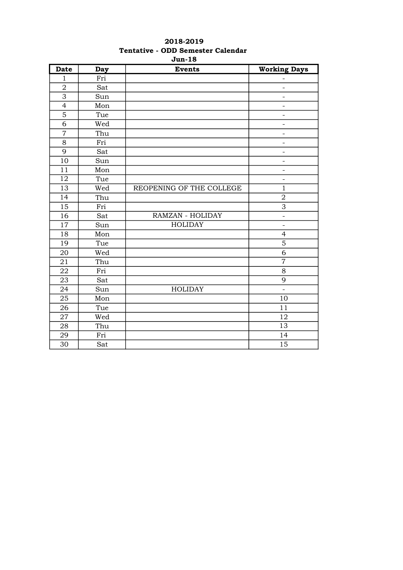| <b>Date</b>     | <b>Day</b> | <b>Events</b>            | <b>Working Days</b>      |
|-----------------|------------|--------------------------|--------------------------|
| $\mathbf{1}$    | Fri        |                          | $\overline{\phantom{0}}$ |
| $\overline{2}$  | Sat        |                          |                          |
| $\overline{3}$  | Sun        |                          | $\overline{\phantom{0}}$ |
| $\overline{4}$  | Mon        |                          | $\qquad \qquad -$        |
| 5               | Tue        |                          | $\overline{\phantom{0}}$ |
| 6               | Wed        |                          | $\overline{\phantom{0}}$ |
| $\overline{7}$  | Thu        |                          | $\overline{\phantom{a}}$ |
| 8               | Fri        |                          | $\overline{\phantom{0}}$ |
| 9               | Sat        |                          | $\overline{\phantom{a}}$ |
| 10              | Sun        |                          | $\bar{\phantom{a}}$      |
| 11              | Mon        |                          | $\frac{1}{2}$            |
| 12              | Tue        |                          | $\equiv$                 |
| 13              | Wed        | REOPENING OF THE COLLEGE | $\mathbf{1}$             |
| $\overline{14}$ | Thu        |                          | $\sqrt{2}$               |
| 15              | Fri        |                          | $\overline{3}$           |
| 16              | Sat        | RAMZAN - HOLIDAY         | $\qquad \qquad -$        |
| 17              | Sun        | <b>HOLIDAY</b>           | $\overline{\phantom{a}}$ |
| 18              | Mon        |                          | $\overline{4}$           |
| 19              | Tue        |                          | $\mathbf 5$              |
| 20              | Wed        |                          | 6                        |
| 21              | Thu        |                          | $\overline{7}$           |
| 22              | Fri        |                          | 8                        |
| 23              | Sat        |                          | 9                        |
| 24              | Sun        | <b>HOLIDAY</b>           | $\equiv$                 |
| 25              | Mon        |                          | 10                       |
| 26              | Tue        |                          | 11                       |
| 27              | Wed        |                          | 12                       |
| 28              | Thu        |                          | 13                       |
| 29              | Fri        |                          | 14                       |
| 30              | Sat        |                          | 15                       |

## 2018-2019 Tentative - ODD Semester Calendar Jun-18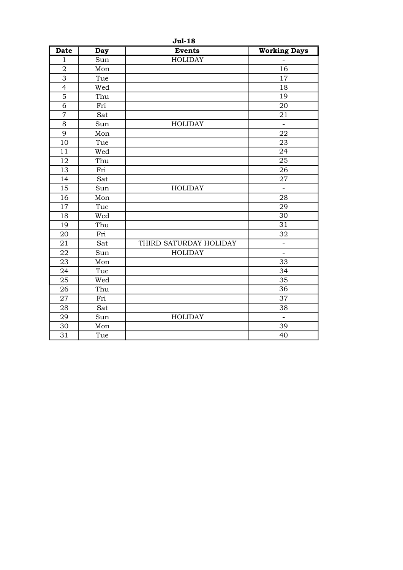| <b>Jul-18</b>   |     |                        |                          |  |
|-----------------|-----|------------------------|--------------------------|--|
| <b>Date</b>     | Day | <b>Events</b>          | <b>Working Days</b>      |  |
| $\mathbf{1}$    | Sun | <b>HOLIDAY</b>         |                          |  |
| $\overline{2}$  | Mon |                        | 16                       |  |
| $\overline{3}$  | Tue |                        | 17                       |  |
| $\overline{4}$  | Wed |                        | 18                       |  |
| $\overline{5}$  | Thu |                        | $\overline{19}$          |  |
| $\overline{6}$  | Fri |                        | 20                       |  |
| $\overline{7}$  | Sat |                        | 21                       |  |
| 8               | Sun | <b>HOLIDAY</b>         | $\mathbf{r}$             |  |
| 9               | Mon |                        | 22                       |  |
| 10              | Tue |                        | 23                       |  |
| $\overline{11}$ | Wed |                        | 24                       |  |
| 12              | Thu |                        | $\overline{25}$          |  |
| 13              | Fri |                        | 26                       |  |
| 14              | Sat |                        | 27                       |  |
| 15              | Sun | <b>HOLIDAY</b>         | $\overline{\phantom{a}}$ |  |
| 16              | Mon |                        | 28                       |  |
| 17              | Tue |                        | 29                       |  |
| 18              | Wed |                        | 30                       |  |
| 19              | Thu |                        | 31                       |  |
| 20              | Fri |                        | 32                       |  |
| 21              | Sat | THIRD SATURDAY HOLIDAY | $\overline{\phantom{0}}$ |  |
| 22              | Sun | <b>HOLIDAY</b>         | $\blacksquare$           |  |
| 23              | Mon |                        | 33                       |  |
| 24              | Tue |                        | 34                       |  |
| 25              | Wed |                        | 35                       |  |
| 26              | Thu |                        | $\overline{36}$          |  |
| 27              | Fri |                        | 37                       |  |
| 28              | Sat |                        | 38                       |  |
| 29              | Sun | <b>HOLIDAY</b>         | $\overline{\phantom{a}}$ |  |
| 30              | Mon |                        | 39                       |  |
| 31              | Tue |                        | 40                       |  |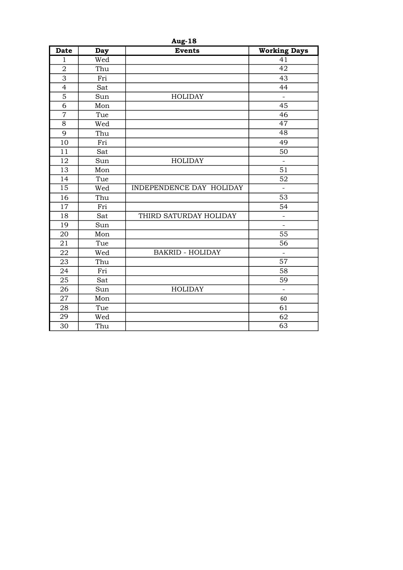| <b>Aug-18</b>   |     |                                 |                          |
|-----------------|-----|---------------------------------|--------------------------|
| <b>Date</b>     | Day | <b>Events</b>                   | <b>Working Days</b>      |
| $\mathbf{1}$    | Wed |                                 | 41                       |
| $\overline{a}$  | Thu |                                 | 42                       |
| $\overline{3}$  | Fri |                                 | 43                       |
| $\overline{4}$  | Sat |                                 | 44                       |
| 5               | Sun | <b>HOLIDAY</b>                  |                          |
| $\overline{6}$  | Mon |                                 | 45                       |
| $\overline{7}$  | Tue |                                 | 46                       |
| $\overline{8}$  | Wed |                                 | 47                       |
| 9               | Thu |                                 | $\overline{48}$          |
| 10              | Fri |                                 | 49                       |
| 11              | Sat |                                 | 50                       |
| 12              | Sun | <b>HOLIDAY</b>                  | $\overline{a}$           |
| 13              | Mon |                                 | 51                       |
| 14              | Tue |                                 | 52                       |
| $\overline{15}$ | Wed | <b>INDEPENDENCE DAY HOLIDAY</b> | $\overline{a}$           |
| 16              | Thu |                                 | $\overline{53}$          |
| 17              | Fri |                                 | 54                       |
| 18              | Sat | THIRD SATURDAY HOLIDAY          | $\overline{\phantom{0}}$ |
| 19              | Sun |                                 | $\frac{1}{2}$            |
| 20              | Mon |                                 | 55                       |
| 21              | Tue |                                 | 56                       |
| 22              | Wed | <b>BAKRID - HOLIDAY</b>         |                          |
| 23              | Thu |                                 | $\overline{57}$          |
| 24              | Fri |                                 | 58                       |
| 25              | Sat |                                 | 59                       |
| 26              | Sun | <b>HOLIDAY</b>                  | $\qquad \qquad -$        |
| 27              | Mon |                                 | 60                       |
| 28              | Tue |                                 | 61                       |
| 29              | Wed |                                 | 62                       |
| 30              | Thu |                                 | 63                       |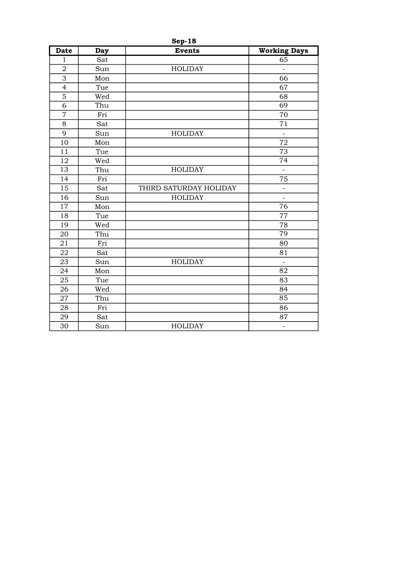| <b>Sep-18</b>  |     |                        |                     |
|----------------|-----|------------------------|---------------------|
| <b>Date</b>    | Day | <b>Events</b>          | <b>Working Days</b> |
| $\mathbf{1}$   | Sat |                        | 65                  |
| $\sqrt{2}$     | Sun | <b>HOLIDAY</b>         |                     |
| $\overline{3}$ | Mon |                        | 66                  |
| $\overline{4}$ | Tue |                        | 67                  |
| $\overline{5}$ | Wed |                        | 68                  |
| $\overline{6}$ | Thu |                        | $\overline{69}$     |
| $\overline{7}$ | Fri |                        | 70                  |
| $\overline{8}$ | Sat |                        | 71                  |
| 9              | Sun | <b>HOLIDAY</b>         | $\overline{a}$      |
| 10             | Mon |                        | 72                  |
| 11             | Tue |                        | 73                  |
| 12             | Wed |                        | $\overline{74}$     |
| 13             | Thu | <b>HOLIDAY</b>         | $\overline{a}$      |
| 14             | Fri |                        | 75                  |
| 15             | Sat | THIRD SATURDAY HOLIDAY | $\equiv$            |
| 16             | Sun | <b>HOLIDAY</b>         | $\overline{a}$      |
| 17             | Mon |                        | 76                  |
| 18             | Tue |                        | 77                  |
| 19             | Wed |                        | 78                  |
| 20             | Thu |                        | 79                  |
| 21             | Fri |                        | 80                  |
| 22             | Sat |                        | 81                  |
| 23             | Sun | <b>HOLIDAY</b>         | $\qquad \qquad -$   |
| 24             | Mon |                        | 82                  |
| 25             | Tue |                        | 83                  |
| 26             | Wed |                        | 84                  |
| 27             | Thu |                        | 85                  |
| 28             | Fri |                        | 86                  |
| 29             | Sat |                        | 87                  |
| 30             | Sun | <b>HOLIDAY</b>         | $\qquad \qquad -$   |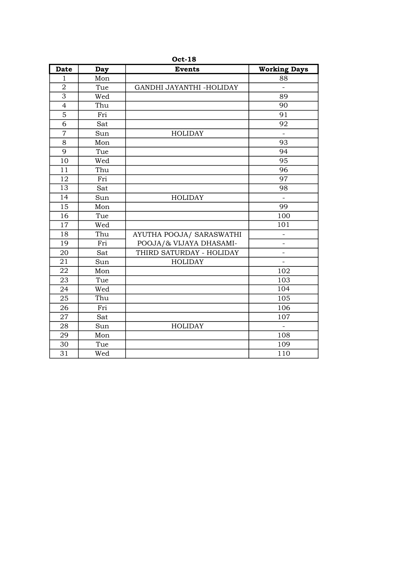| <b>Date</b>     | Day | <b>Events</b>            | <b>Working Days</b>      |
|-----------------|-----|--------------------------|--------------------------|
| 1               | Mon |                          | 88                       |
| $\overline{2}$  | Tue | GANDHI JAYANTHI -HOLIDAY | $\qquad \qquad -$        |
| $\overline{3}$  | Wed |                          | 89                       |
| $\overline{4}$  | Thu |                          | $\overline{90}$          |
| $\overline{5}$  | Fri |                          | 91                       |
| $\overline{6}$  | Sat |                          | 92                       |
| $\overline{7}$  | Sun | <b>HOLIDAY</b>           |                          |
| 8               | Mon |                          | 93                       |
| 9               | Tue |                          | 94                       |
| 10              | Wed |                          | 95                       |
| 11              | Thu |                          | 96                       |
| 12              | Fri |                          | 97                       |
| $\overline{13}$ | Sat |                          | 98                       |
| 14              | Sun | <b>HOLIDAY</b>           | $\qquad \qquad -$        |
| 15              | Mon |                          | 99                       |
| 16              | Tue |                          | 100                      |
| 17              | Wed |                          | 101                      |
| 18              | Thu | AYUTHA POOJA/ SARASWATHI | $\overline{\phantom{0}}$ |
| 19              | Fri | POOJA/& VIJAYA DHASAMI-  | $\overline{\phantom{0}}$ |
| 20              | Sat | THIRD SATURDAY - HOLIDAY | $\overline{a}$           |
| 21              | Sun | <b>HOLIDAY</b>           | $\qquad \qquad -$        |
| 22              | Mon |                          | 102                      |
| 23              | Tue |                          | 103                      |
| 24              | Wed |                          | 104                      |
| 25              | Thu |                          | 105                      |
| 26              | Fri |                          | 106                      |
| 27              | Sat |                          | 107                      |
| 28              | Sun | <b>HOLIDAY</b>           | $\overline{\phantom{a}}$ |
| 29              | Mon |                          | 108                      |
| 30              | Tue |                          | 109                      |
| 31              | Wed |                          | 110                      |

Oct-18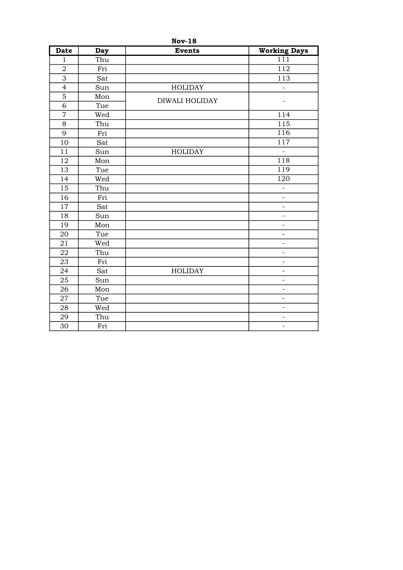| <b>Nov-18</b>  |     |                       |                          |  |
|----------------|-----|-----------------------|--------------------------|--|
| <b>Date</b>    | Day | <b>Events</b>         | <b>Working Days</b>      |  |
| $\mathbf{1}$   | Thu |                       | 111                      |  |
| $\sqrt{2}$     | Fri |                       | 112                      |  |
| $\overline{3}$ | Sat |                       | 113                      |  |
| $\overline{4}$ | Sun | <b>HOLIDAY</b>        |                          |  |
| 5              | Mon | <b>DIWALI HOLIDAY</b> |                          |  |
| $\overline{6}$ | Tue |                       | $\overline{\phantom{0}}$ |  |
| $\overline{7}$ | Wed |                       | 114                      |  |
| 8              | Thu |                       | 115                      |  |
| $\overline{9}$ | Fri |                       | 116                      |  |
| 10             | Sat |                       | 117                      |  |
| 11             | Sun | <b>HOLIDAY</b>        | $\blacksquare$           |  |
| 12             | Mon |                       | 118                      |  |
| 13             | Tue |                       | 119                      |  |
| 14             | Wed |                       | 120                      |  |
| 15             | Thu |                       | $\overline{\phantom{0}}$ |  |
| 16             | Fri |                       | $\overline{a}$           |  |
| 17             | Sat |                       | $\blacksquare$           |  |
| 18             | Sun |                       | $\equiv$                 |  |
| 19             | Mon |                       | $\overline{\phantom{a}}$ |  |
| 20             | Tue |                       | $\overline{\phantom{0}}$ |  |
| 21             | Wed |                       | $\equiv$                 |  |
| 22             | Thu |                       | $\overline{\phantom{0}}$ |  |
| 23             | Fri |                       | $\qquad \qquad -$        |  |
| 24             | Sat | <b>HOLIDAY</b>        | $\overline{\phantom{a}}$ |  |
| 25             | Sun |                       | $\overline{\phantom{a}}$ |  |
| 26             | Mon |                       | $\qquad \qquad -$        |  |
| 27             | Tue |                       | $\overline{\phantom{a}}$ |  |
| 28             | Wed |                       | $\overline{\phantom{0}}$ |  |
| 29             | Thu |                       | $\overline{\phantom{0}}$ |  |
| 30             | Fri |                       | $\overline{\phantom{a}}$ |  |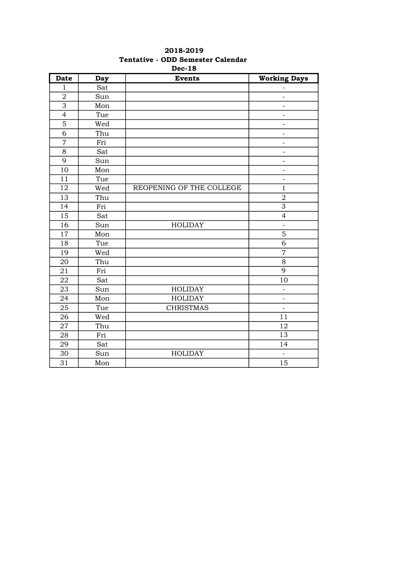|                          |                               | DEC-10                   |                          |
|--------------------------|-------------------------------|--------------------------|--------------------------|
| <b>Date</b>              | <b>Day</b>                    | <b>Events</b>            | <b>Working Days</b>      |
| $\mathbf{1}$             | Sat                           |                          |                          |
| $\overline{2}$           | Sun                           |                          | $\overline{a}$           |
| $\overline{3}$           | Mon                           |                          | $\overline{\phantom{0}}$ |
| $\overline{\mathcal{L}}$ | Tue                           |                          | $\overline{\phantom{a}}$ |
| 5                        | Wed                           |                          | $\overline{\phantom{0}}$ |
| 6                        | Thu                           |                          | $\overline{\phantom{0}}$ |
| $\overline{7}$           | Fri                           |                          | $\overline{\phantom{a}}$ |
| 8                        | Sat                           |                          | $\overline{\phantom{0}}$ |
| 9                        | Sun                           |                          | $\overline{\phantom{0}}$ |
| 10                       | $\operatorname{\mathsf{Mon}}$ |                          | $\overline{\phantom{0}}$ |
| $\overline{11}$          | Tue                           |                          | $\overline{\phantom{0}}$ |
| 12                       | Wed                           | REOPENING OF THE COLLEGE | $\mathbf{1}$             |
| 13                       | Thu                           |                          | $\mathbf 2$              |
| 14                       | Fri                           |                          | $\overline{3}$           |
| 15                       | Sat                           |                          | $\overline{4}$           |
| 16                       | Sun                           | <b>HOLIDAY</b>           | $\overline{a}$           |
| 17                       | Mon                           |                          | $\mathbf 5$              |
| 18                       | Tue                           |                          | 6                        |
| 19                       | Wed                           |                          | $\overline{7}$           |
| 20                       | Thu                           |                          | $8\,$                    |
| 21                       | Fri                           |                          | $\overline{9}$           |
| 22                       | Sat                           |                          | 10                       |
| 23                       | Sun                           | <b>HOLIDAY</b>           | $\overline{\phantom{a}}$ |
| 24                       | Mon                           | <b>HOLIDAY</b>           | $\overline{\phantom{0}}$ |
| 25                       | Tue                           | <b>CHRISTMAS</b>         | $\overline{\phantom{a}}$ |
| 26                       | Wed                           |                          | 11                       |
| 27                       | Thu                           |                          | 12                       |
| 28                       | Fri                           |                          | $\overline{13}$          |
| 29                       | Sat                           |                          | 14                       |
| 30                       | Sun                           | <b>HOLIDAY</b>           |                          |
| 31                       | Mon                           |                          | 15                       |

## 2018-2019 Tentative - ODD Semester Calendar Dec-18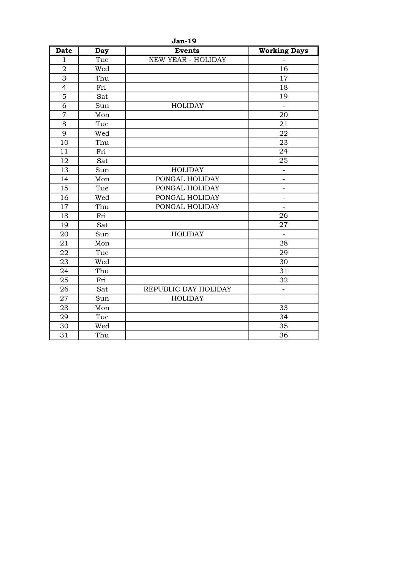| <b>Jan-19</b>  |            |                           |                          |  |
|----------------|------------|---------------------------|--------------------------|--|
| <b>Date</b>    | <b>Day</b> | <b>Events</b>             | <b>Working Days</b>      |  |
| $\mathbf{1}$   | Tue        | <b>NEW YEAR - HOLIDAY</b> |                          |  |
| $\overline{2}$ | Wed        |                           | 16                       |  |
| 3              | Thu        |                           | 17                       |  |
| $\overline{4}$ | Fri        |                           | 18                       |  |
| $\overline{5}$ | Sat        |                           | 19                       |  |
| $\overline{6}$ | Sun        | <b>HOLIDAY</b>            | $\overline{\phantom{a}}$ |  |
| $\overline{7}$ | Mon        |                           | 20                       |  |
| 8              | Tue        |                           | 21                       |  |
| 9              | Wed        |                           | 22                       |  |
| 10             | Thu        |                           | 23                       |  |
| 11             | Fri        |                           | 24                       |  |
| 12             | Sat        |                           | 25                       |  |
| 13             | Sun        | <b>HOLIDAY</b>            | $\overline{\phantom{0}}$ |  |
| 14             | Mon        | PONGAL HOLIDAY            | $\overline{\phantom{0}}$ |  |
| 15             | Tue        | PONGAL HOLIDAY            | $\blacksquare$           |  |
| 16             | Wed        | PONGAL HOLIDAY            | $\qquad \qquad -$        |  |
| 17             | Thu        | PONGAL HOLIDAY            | $\overline{a}$           |  |
| 18             | Fri        |                           | 26                       |  |
| 19             | Sat        |                           | 27                       |  |
| 20             | Sun        | <b>HOLIDAY</b>            | $\equiv$                 |  |
| 21             | Mon        |                           | 28                       |  |
| 22             | Tue        |                           | 29                       |  |
| 23             | Wed        |                           | 30                       |  |
| 24             | Thu        |                           | 31                       |  |
| 25             | Fri        |                           | 32                       |  |
| 26             | Sat        | REPUBLIC DAY HOLIDAY      | $\qquad \qquad -$        |  |
| 27             | Sun        | <b>HOLIDAY</b>            | $\bar{\phantom{a}}$      |  |
| 28             | Mon        |                           | 33                       |  |
| 29             | Tue        |                           | 34                       |  |
| 30             | Wed        |                           | 35                       |  |
| 31             | Thu        |                           | 36                       |  |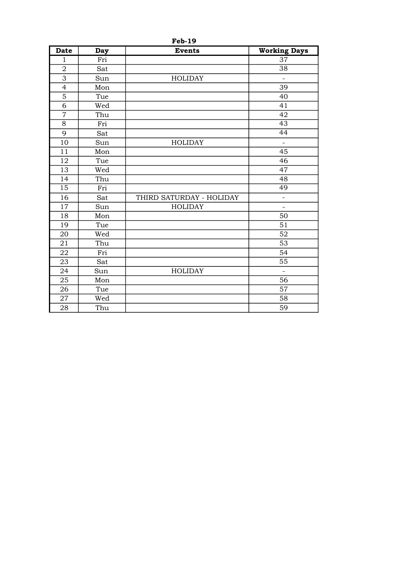| <b>Date</b>     | Day | <b>Events</b>            | <b>Working Days</b>      |
|-----------------|-----|--------------------------|--------------------------|
| $\mathbf{1}$    | Fri |                          | 37                       |
| $\overline{2}$  | Sat |                          | 38                       |
| 3               | Sun | <b>HOLIDAY</b>           | $\overline{a}$           |
| $\overline{4}$  | Mon |                          | 39                       |
| 5               | Tue |                          | 40                       |
| 6               | Wed |                          | 41                       |
| $\overline{7}$  | Thu |                          | 42                       |
| 8               | Fri |                          | 43                       |
| 9               | Sat |                          | 44                       |
| 10              | Sun | <b>HOLIDAY</b>           | $\blacksquare$           |
| 11              | Mon |                          | 45                       |
| 12              | Tue |                          | 46                       |
| 13              | Wed |                          | 47                       |
| 14              | Thu |                          | 48                       |
| $\overline{15}$ | Fri |                          | 49                       |
| 16              | Sat | THIRD SATURDAY - HOLIDAY | $\overline{a}$           |
| 17              | Sun | <b>HOLIDAY</b>           | $\overline{\phantom{0}}$ |
| 18              | Mon |                          | 50                       |
| 19              | Tue |                          | 51                       |
| 20              | Wed |                          | 52                       |
| 21              | Thu |                          | 53                       |
| 22              | Fri |                          | 54                       |
| 23              | Sat |                          | $\overline{55}$          |
| 24              | Sun | <b>HOLIDAY</b>           | $\overline{\phantom{a}}$ |
| 25              | Mon |                          | 56                       |
| 26              | Tue |                          | 57                       |
| 27              | Wed |                          | 58                       |
| 28              | Thu |                          | 59                       |

Feb-19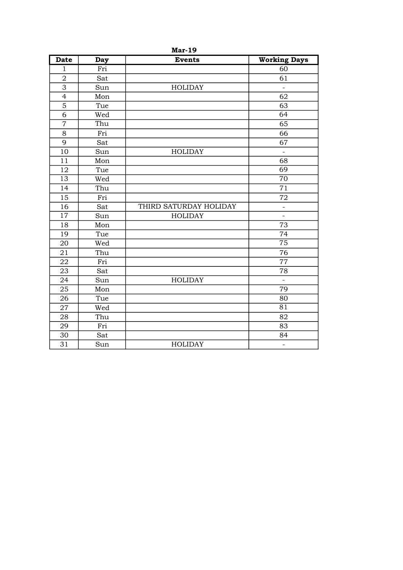| <b>Date</b>             | Day | <b>Events</b>          | <b>Working Days</b>      |
|-------------------------|-----|------------------------|--------------------------|
| $\mathbf{1}$            | Fri |                        | 60                       |
| $\overline{\mathbf{c}}$ | Sat |                        | 61                       |
| $\overline{3}$          | Sun | <b>HOLIDAY</b>         | $\overline{a}$           |
| $\overline{4}$          | Mon |                        | 62                       |
| $\overline{5}$          | Tue |                        | 63                       |
| 6                       | Wed |                        | 64                       |
| $\overline{7}$          | Thu |                        | 65                       |
| 8                       | Fri |                        | 66                       |
| 9                       | Sat |                        | 67                       |
| 10                      | Sun | <b>HOLIDAY</b>         | $\overline{a}$           |
| 11                      | Mon |                        | 68                       |
| 12                      | Tue |                        | 69                       |
| $\overline{13}$         | Wed |                        | $\overline{70}$          |
| 14                      | Thu |                        | 71                       |
| 15                      | Fri |                        | 72                       |
| 16                      | Sat | THIRD SATURDAY HOLIDAY | $\overline{\phantom{0}}$ |
| 17                      | Sun | <b>HOLIDAY</b>         | $\overline{\phantom{0}}$ |
| 18                      | Mon |                        | 73                       |
| 19                      | Tue |                        | 74                       |
| 20                      | Wed |                        | $\overline{75}$          |
| 21                      | Thu |                        | 76                       |
| 22                      | Fri |                        | $\overline{77}$          |
| 23                      | Sat |                        | 78                       |
| 24                      | Sun | <b>HOLIDAY</b>         | $\overline{a}$           |
| 25                      | Mon |                        | 79                       |
| 26                      | Tue |                        | 80                       |
| 27                      | Wed |                        | $\overline{81}$          |
| 28                      | Thu |                        | 82                       |
| 29                      | Fri |                        | 83                       |
| 30                      | Sat |                        | 84                       |
| 31                      | Sun | <b>HOLIDAY</b>         | $\overline{\phantom{0}}$ |

Mar-19